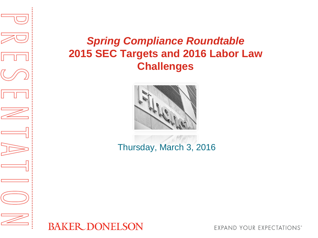### *Spring Compliance Roundtable* **2015 SEC Targets and 2016 Labor Law Challenges**



Th[ursday, March 3, 2](http://www.google.com/url?sa=i&rct=j&q=&esrc=s&source=images&cd=&cad=rja&uact=8&ved=0CAcQjRw&url=http%3A%2F%2Fwww.ncval.com%2Fservices%2Ffinancial_institutions.php&ei=6HXGVI6FBIarNrvbgZgM&bvm=bv.84349003,d.eXY&psig=AFQjCNFzoaLUDwCVN-ViMaHg7SjK6d5SJA&ust=1422378800859196)016



**EXPAND YOUR EXPECTATIONS\***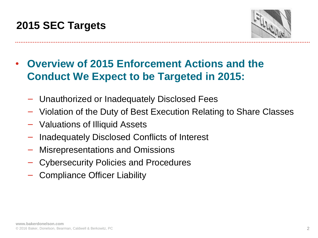### **2015 SEC Targets**



### • **Overview of 2015 Enforcement Actions and the Conduct We Expect to be Targeted in 2015:**

- − Unauthorized or Inadequately Disclosed Fees
- − Violation of the Duty of Best Execution Relating to Share Classes
- − Valuations of Illiquid Assets
- − Inadequately Disclosed Conflicts of Interest
- − Misrepresentations and Omissions
- − Cybersecurity Policies and Procedures
- − Compliance Officer Liability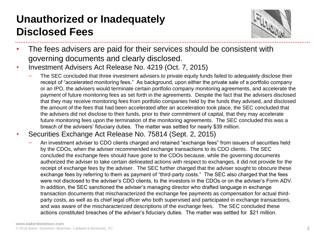### **Unauthorized or Inadequately Disclosed Fees**



- The fees advisers are paid for their services should be consistent with governing documents and clearly disclosed.
- Investment Advisers Act Release No. 4219 (Oct. 7, 2015)
	- The SEC concluded that three investment advisers to private equity funds failed to adequately disclose their receipt of "accelerated monitoring fees." As background, upon either the private sale of a portfolio company or an IPO, the advisers would terminate certain portfolio company monitoring agreements, and accelerate the payment of future monitoring fees as set forth in the agreements. Despite the fact that the advisers disclosed that they may receive monitoring fees from portfolio companies held by the funds they advised, and disclosed the amount of the fees that had been accelerated after an acceleration took place, the SEC concluded that the advisers did not disclose to their funds, prior to their commitment of capital, that they may accelerate future monitoring fees upon the termination of the monitoring agreements. The SEC concluded this was a breach of the advisers' fiduciary duties. The matter was settled for nearly \$39 million.
- Securities Exchange Act Release No. 75814 (Sept. 2, 2015)
	- − An investment adviser to CDO clients charged and retained "exchange fees" from issuers of securities held by the CDOs, when the adviser recommended exchange transactions to its CDO clients. The SEC concluded the exchange fees should have gone to the CDOs because, while the governing documents authorized the adviser to take certain delineated actions with respect to exchanges, it did not provide for the receipt of exchange fees by the adviser. The SEC further charged that the adviser sought to obscure these exchange fees by referring to them as payment of "third-party costs." The SEC also charged that the fees were not disclosed to the adviser's CDO clients, to the investors in the CDOs or on the adviser's Form ADV. In addition, the SEC sanctioned the adviser's managing director who drafted language in exchange transaction documents that mischaracterized the exchange fee payments as compensation for actual thirdparty costs, as well as its chief legal officer who both supervised and participated in exchange transactions, and was aware of the mischaracterized descriptions of the exchange fees. The SEC concluded these actions constituted breaches of the adviser's fiduciary duties. The matter was settled for \$21 million.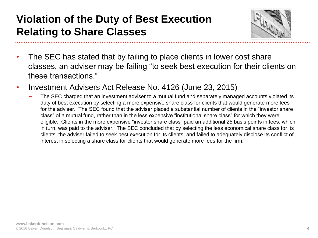### **Violation of the Duty of Best Execution Relating to Share Classes**



- The SEC has stated that by failing to place clients in lower cost share classes, an adviser may be failing "to seek best execution for their clients on these transactions."
- Investment Advisers Act Release No. 4126 (June 23, 2015)
	- The SEC charged that an investment adviser to a mutual fund and separately managed accounts violated its duty of best execution by selecting a more expensive share class for clients that would generate more fees for the adviser. The SEC found that the adviser placed a substantial number of clients in the "investor share class" of a mutual fund, rather than in the less expensive "institutional share class" for which they were eligible. Clients in the more expensive "investor share class" paid an additional 25 basis points in fees, which in turn, was paid to the adviser. The SEC concluded that by selecting the less economical share class for its clients, the adviser failed to seek best execution for its clients, and failed to adequately disclose its conflict of interest in selecting a share class for clients that would generate more fees for the firm.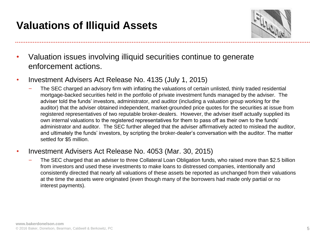### **Valuations of Illiquid Assets**



- Valuation issues involving illiquid securities continue to generate enforcement actions.
- Investment Advisers Act Release No. 4135 (July 1, 2015)
	- The SEC charged an advisory firm with inflating the valuations of certain unlisted, thinly traded residential mortgage-backed securities held in the portfolio of private investment funds managed by the adviser. The adviser told the funds' investors, administrator, and auditor (including a valuation group working for the auditor) that the adviser obtained independent, market-grounded price quotes for the securities at issue from registered representatives of two reputable broker-dealers. However, the adviser itself actually supplied its own internal valuations to the registered representatives for them to pass off as their own to the funds' administrator and auditor. The SEC further alleged that the adviser affirmatively acted to mislead the auditor, and ultimately the funds' investors, by scripting the broker-dealer's conversation with the auditor. The matter settled for \$5 million.
- Investment Advisers Act Release No. 4053 (Mar. 30, 2015)
	- The SEC charged that an adviser to three Collateral Loan Obligation funds, who raised more than \$2.5 billion from investors and used these investments to make loans to distressed companies, intentionally and consistently directed that nearly all valuations of these assets be reported as unchanged from their valuations at the time the assets were originated (even though many of the borrowers had made only partial or no interest payments).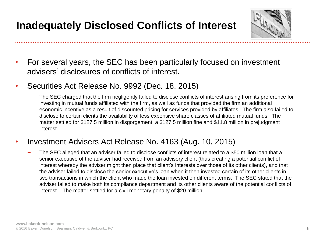

- For several years, the SEC has been particularly focused on investment advisers' disclosures of conflicts of interest.
- Securities Act Release No. 9992 (Dec. 18, 2015)
	- The SEC charged that the firm negligently failed to disclose conflicts of interest arising from its preference for investing in mutual funds affiliated with the firm, as well as funds that provided the firm an additional economic incentive as a result of discounted pricing for services provided by affiliates. The firm also failed to disclose to certain clients the availability of less expensive share classes of affiliated mutual funds. The matter settled for \$127.5 million in disgorgement, a \$127.5 million fine and \$11.8 million in prejudgment interest.

#### • Investment Advisers Act Release No. 4163 (Aug. 10, 2015)

The SEC alleged that an adviser failed to disclose conflicts of interest related to a \$50 million loan that a senior executive of the adviser had received from an advisory client (thus creating a potential conflict of interest whereby the adviser might then place that client's interests over those of its other clients), and that the adviser failed to disclose the senior executive's loan when it then invested certain of its other clients in two transactions in which the client who made the loan invested on different terms. The SEC stated that the adviser failed to make both its compliance department and its other clients aware of the potential conflicts of interest. The matter settled for a civil monetary penalty of \$20 million.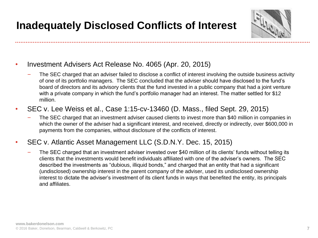#### **Inadequately Disclosed Conflicts of Interest**



- Investment Advisers Act Release No. 4065 (Apr. 20, 2015)
	- The SEC charged that an adviser failed to disclose a conflict of interest involving the outside business activity of one of its portfolio managers. The SEC concluded that the adviser should have disclosed to the fund's board of directors and its advisory clients that the fund invested in a public company that had a joint venture with a private company in which the fund's portfolio manager had an interest. The matter settled for \$12 million.
- SEC v. Lee Weiss et al., Case 1:15-cv-13460 (D. Mass., filed Sept. 29, 2015)
	- The SEC charged that an investment adviser caused clients to invest more than \$40 million in companies in which the owner of the adviser had a significant interest, and received, directly or indirectly, over \$600,000 in payments from the companies, without disclosure of the conflicts of interest.

#### • SEC v. Atlantic Asset Management LLC (S.D.N.Y. Dec. 15, 2015)

The SEC charged that an investment adviser invested over \$40 million of its clients' funds without telling its clients that the investments would benefit individuals affiliated with one of the adviser's owners. The SEC described the investments as "dubious, illiquid bonds," and charged that an entity that had a significant (undisclosed) ownership interest in the parent company of the adviser, used its undisclosed ownership interest to dictate the adviser's investment of its client funds in ways that benefited the entity, its principals and affiliates.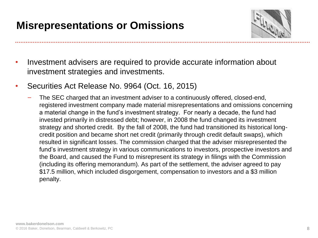#### **Misrepresentations or Omissions**



- Investment advisers are required to provide accurate information about investment strategies and investments.
- Securities Act Release No. 9964 (Oct. 16, 2015)
	- The SEC charged that an investment adviser to a continuously offered, closed-end, registered investment company made material misrepresentations and omissions concerning a material change in the fund's investment strategy. For nearly a decade, the fund had invested primarily in distressed debt; however, in 2008 the fund changed its investment strategy and shorted credit. By the fall of 2008, the fund had transitioned its historical longcredit position and became short net credit (primarily through credit default swaps), which resulted in significant losses. The commission charged that the adviser misrepresented the fund's investment strategy in various communications to investors, prospective investors and the Board, and caused the Fund to misrepresent its strategy in filings with the Commission (including its offering memorandum). As part of the settlement, the adviser agreed to pay \$17.5 million, which included disgorgement, compensation to investors and a \$3 million penalty.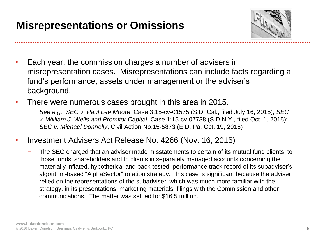

- Each year, the commission charges a number of advisers in misrepresentation cases. Misrepresentations can include facts regarding a fund's performance, assets under management or the adviser's background.
- There were numerous cases brought in this area in 2015.
	- − *See e.g., SEC v. Paul Lee Moore*, Case 3:15-cv-01575 (S.D. Cal., filed July 16, 2015); *SEC v. William J. Wells and Promitor Capital*, Case 1:15-cv-07738 (S.D.N.Y., filed Oct. 1, 2015); *SEC v. Michael Donnelly*, Civil Action No.15-5873 (E.D. Pa. Oct. 19, 2015)
- Investment Advisers Act Release No. 4266 (Nov. 16, 2015)
	- The SEC charged that an adviser made misstatements to certain of its mutual fund clients, to those funds' shareholders and to clients in separately managed accounts concerning the materially inflated, hypothetical and back-tested, performance track record of its subadviser's algorithm-based "AlphaSector" rotation strategy. This case is significant because the adviser relied on the representations of the subadviser, which was much more familiar with the strategy, in its presentations, marketing materials, filings with the Commission and other communications. The matter was settled for \$16.5 million.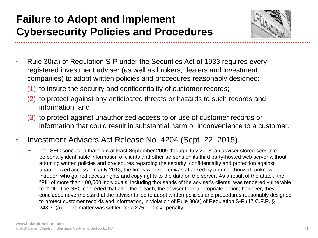#### **Failure to Adopt and Implement Cybersecurity Policies and Procedures**



- Rule 30(a) of Regulation S-P under the Securities Act of 1933 requires every registered investment adviser (as well as brokers, dealers and investment companies) to adopt written policies and procedures reasonably designed:
	- (1) to insure the security and confidentiality of customer records;
	- (2) to protect against any anticipated threats or hazards to such records and information; and
	- (3) to protect against unauthorized access to or use of customer records or information that could result in substantial harm or inconvenience to a customer.

#### • Investment Advisers Act Release No. 4204 (Sept. 22, 2015)

The SEC concluded that from at least September 2009 through July 2013, an adviser stored sensitive personally identifiable information of clients and other persons on its third party-hosted web server without adopting written policies and procedures regarding the security, confidentiality and protection against unauthorized access. In July 2013, the firm's web server was attacked by an unauthorized, unknown intruder, who gained access rights and copy rights to the data on the server. As a result of the attack, the "PII" of more than 100,000 individuals, including thousands of the adviser's clients, was rendered vulnerable to theft. The SEC conceded that after the breach, the adviser took appropriate action; however, they concluded nevertheless that the adviser failed to adopt written policies and procedures reasonably designed to protect customer records and information, in violation of Rule 30(a) of Regulation S-P (17 C.F.R. § 248.30(a)). The matter was settled for a \$75,000 civil penalty.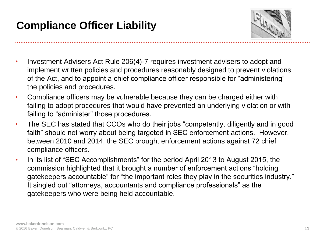

- Investment Advisers Act Rule 206(4)-7 requires investment advisers to adopt and implement written policies and procedures reasonably designed to prevent violations of the Act, and to appoint a chief compliance officer responsible for "administering" the policies and procedures.
- Compliance officers may be vulnerable because they can be charged either with failing to adopt procedures that would have prevented an underlying violation or with failing to "administer" those procedures.
- The SEC has stated that CCOs who do their jobs "competently, diligently and in good faith" should not worry about being targeted in SEC enforcement actions. However, between 2010 and 2014, the SEC brought enforcement actions against 72 chief compliance officers.
- In its list of "SEC Accomplishments" for the period April 2013 to August 2015, the commission highlighted that it brought a number of enforcement actions "holding gatekeepers accountable" for "the important roles they play in the securities industry." It singled out "attorneys, accountants and compliance professionals" as the gatekeepers who were being held accountable.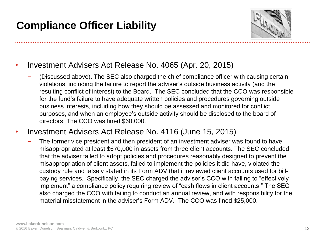

- Investment Advisers Act Release No. 4065 (Apr. 20, 2015)
	- − (Discussed above). The SEC also charged the chief compliance officer with causing certain violations, including the failure to report the adviser's outside business activity (and the resulting conflict of interest) to the Board. The SEC concluded that the CCO was responsible for the fund's failure to have adequate written policies and procedures governing outside business interests, including how they should be assessed and monitored for conflict purposes, and when an employee's outside activity should be disclosed to the board of directors. The CCO was fined \$60,000.
- Investment Advisers Act Release No. 4116 (June 15, 2015)
	- The former vice president and then president of an investment adviser was found to have misappropriated at least \$670,000 in assets from three client accounts. The SEC concluded that the adviser failed to adopt policies and procedures reasonably designed to prevent the misappropriation of client assets, failed to implement the policies it did have, violated the custody rule and falsely stated in its Form ADV that it reviewed client accounts used for billpaying services. Specifically, the SEC charged the adviser's CCO with failing to "effectively implement" a compliance policy requiring review of "cash flows in client accounts." The SEC also charged the CCO with failing to conduct an annual review, and with responsibility for the material misstatement in the adviser's Form ADV. The CCO was fined \$25,000.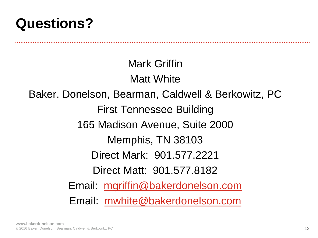# **Questions?**

Mark Griffin Matt White Baker, Donelson, Bearman, Caldwell & Berkowitz, PC First Tennessee Building 165 Madison Avenue, Suite 2000 Memphis, TN 38103 Direct Mark: 901.577.2221 Direct Matt: 901.577.8182 Email: [mgriffin@bakerdonelson.com](mailto:mgriffin@bakerdonelson.com) Email: [mwhite@bakerdonelson.com](mailto:mgriffin@bakerdonelson.com)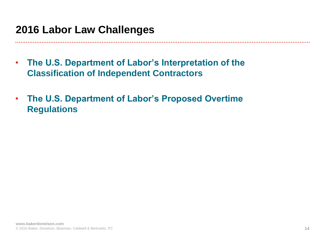#### **2016 Labor Law Challenges**

- **The U.S. Department of Labor's Interpretation of the Classification of Independent Contractors**
- **The U.S. Department of Labor's Proposed Overtime Regulations**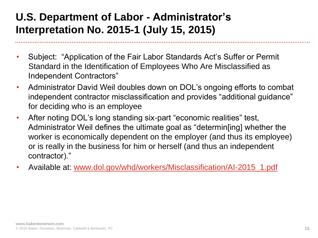### **U.S. Department of Labor - Administrator's Interpretation No. 2015-1 (July 15, 2015)**

- Subject: "Application of the Fair Labor Standards Act's Suffer or Permit Standard in the Identification of Employees Who Are Misclassified as Independent Contractors"
- Administrator David Weil doubles down on DOL's ongoing efforts to combat independent contractor misclassification and provides "additional guidance" for deciding who is an employee
- After noting DOL's long standing six-part "economic realities" test, Administrator Weil defines the ultimate goal as "determin[ing] whether the worker is economically dependent on the employer (and thus its employee) or is really in the business for him or herself (and thus an independent contractor)."
- Available at: [www.dol.gov/whd/workers/Misclassification/AI-2015\\_1.pdf](http://www.dol.gov/whd/workers/Misclassification/AI-2015_1.pdf)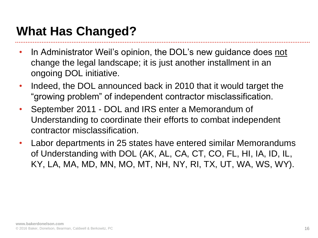# **What Has Changed?**

- In Administrator Weil's opinion, the DOL's new guidance does not change the legal landscape; it is just another installment in an ongoing DOL initiative.
- Indeed, the DOL announced back in 2010 that it would target the "growing problem" of independent contractor misclassification.
- September 2011 DOL and IRS enter a Memorandum of Understanding to coordinate their efforts to combat independent contractor misclassification.
- Labor departments in 25 states have entered similar Memorandums of Understanding with DOL (AK, AL, CA, CT, CO, FL, HI, IA, ID, IL, KY, LA, MA, MD, MN, MO, MT, NH, NY, RI, TX, UT, WA, WS, WY).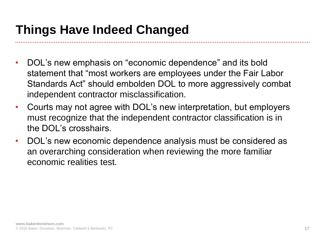### **Things Have Indeed Changed**

- DOL's new emphasis on "economic dependence" and its bold statement that "most workers are employees under the Fair Labor Standards Act" should embolden DOL to more aggressively combat independent contractor misclassification.
- Courts may not agree with DOL's new interpretation, but employers must recognize that the independent contractor classification is in the DOL's crosshairs.
- DOL's new economic dependence analysis must be considered as an overarching consideration when reviewing the more familiar economic realities test.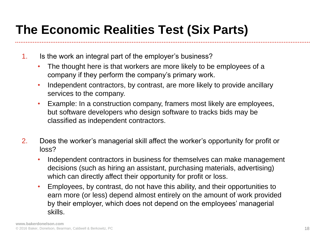# **The Economic Realities Test (Six Parts)**

- 1. Is the work an integral part of the employer's business?
	- The thought here is that workers are more likely to be employees of a company if they perform the company's primary work.
	- Independent contractors, by contrast, are more likely to provide ancillary services to the company.
	- Example: In a construction company, framers most likely are employees, but software developers who design software to tracks bids may be classified as independent contractors.
- 2. Does the worker's managerial skill affect the worker's opportunity for profit or loss?
	- Independent contractors in business for themselves can make management decisions (such as hiring an assistant, purchasing materials, advertising) which can directly affect their opportunity for profit or loss.
	- Employees, by contrast, do not have this ability, and their opportunities to earn more (or less) depend almost entirely on the amount of work provided by their employer, which does not depend on the employees' managerial skills.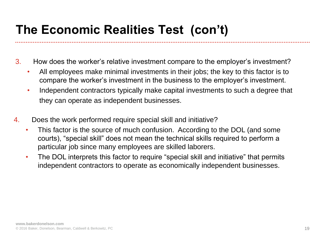# **The Economic Realities Test (con't)**

- 3. How does the worker's relative investment compare to the employer's investment?
	- All employees make minimal investments in their jobs; the key to this factor is to compare the worker's investment in the business to the employer's investment.
	- Independent contractors typically make capital investments to such a degree that they can operate as independent businesses.
- 4. Does the work performed require special skill and initiative?
	- This factor is the source of much confusion. According to the DOL (and some courts), "special skill" does not mean the technical skills required to perform a particular job since many employees are skilled laborers.
	- The DOL interprets this factor to require "special skill and initiative" that permits independent contractors to operate as economically independent businesses.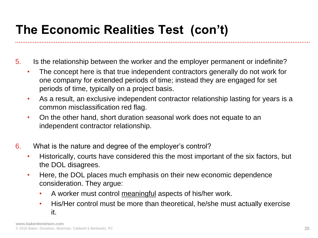# **The Economic Realities Test (con't)**

- 5. Is the relationship between the worker and the employer permanent or indefinite?
	- The concept here is that true independent contractors generally do not work for one company for extended periods of time; instead they are engaged for set periods of time, typically on a project basis.
	- As a result, an exclusive independent contractor relationship lasting for years is a common misclassification red flag.
	- On the other hand, short duration seasonal work does not equate to an independent contractor relationship.
- 6. What is the nature and degree of the employer's control?
	- Historically, courts have considered this the most important of the six factors, but the DOL disagrees.
	- Here, the DOL places much emphasis on their new economic dependence consideration. They argue:
		- A worker must control meaningful aspects of his/her work.
		- His/Her control must be more than theoretical, he/she must actually exercise it.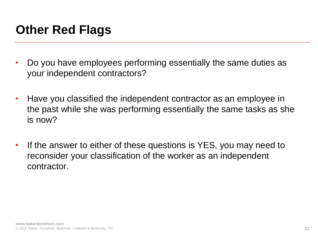### **Other Red Flags**

- Do you have employees performing essentially the same duties as your independent contractors?
- Have you classified the independent contractor as an employee in the past while she was performing essentially the same tasks as she is now?
- If the answer to either of these questions is YES, you may need to reconsider your classification of the worker as an independent contractor.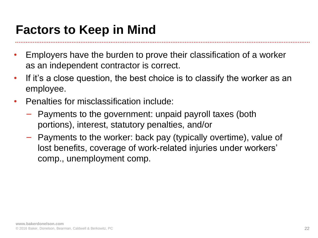### **Factors to Keep in Mind**

- Employers have the burden to prove their classification of a worker as an independent contractor is correct.
- If it's a close question, the best choice is to classify the worker as an employee.
- Penalties for misclassification include:
	- − Payments to the government: unpaid payroll taxes (both portions), interest, statutory penalties, and/or
	- − Payments to the worker: back pay (typically overtime), value of lost benefits, coverage of work-related injuries under workers' comp., unemployment comp.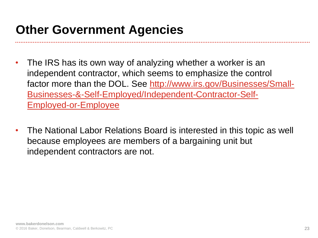### **Other Government Agencies**

- The IRS has its own way of analyzing whether a worker is an independent contractor, which seems to emphasize the control factor more than the DOL. See [http://www.irs.gov/Businesses/Small-](http://www.irs.gov/Businesses/Small-Businesses-&-Self-Employed/Independent-Contractor-Self-Employed-or-Employee)[Businesses-&-Self-Employed/Independent-Contractor-Self-](http://www.irs.gov/Businesses/Small-Businesses-&-Self-Employed/Independent-Contractor-Self-Employed-or-Employee)[Employed-or-Employee](http://www.irs.gov/Businesses/Small-Businesses-&-Self-Employed/Independent-Contractor-Self-Employed-or-Employee)
- The National Labor Relations Board is interested in this topic as well because employees are members of a bargaining unit but independent contractors are not.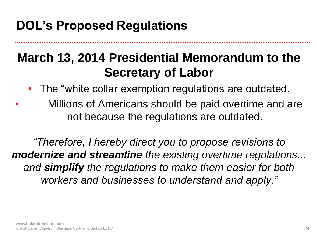# **DOL's Proposed Regulations**

# **March 13, 2014 Presidential Memorandum to the Secretary of Labor**

- The "white collar exemption regulations are outdated.
- Millions of Americans should be paid overtime and are not because the regulations are outdated.

*"Therefore, I hereby direct you to propose revisions to modernize and streamline the existing overtime regulations... and simplify the regulations to make them easier for both workers and businesses to understand and apply."*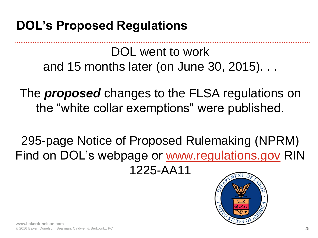### **DOL's Proposed Regulations**

DOL went to work and 15 months later (on June 30, 2015). . .

The *proposed* changes to the FLSA regulations on the "white collar exemptions" were published.

295-page Notice of Proposed Rulemaking (NPRM) Find on DOL's webpage or [www.regulations.gov](http://www.regulations.gov/) RIN 1225-AA11

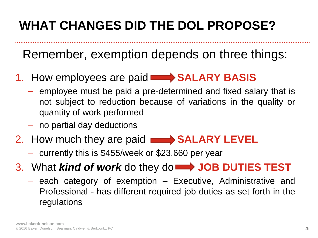# **WHAT CHANGES DID THE DOL PROPOSE?**

Remember, exemption depends on three things:

- 1. How employees are paid **SALARY BASIS** 
	- − employee must be paid a pre-determined and fixed salary that is not subject to reduction because of variations in the quality or quantity of work performed
	- − no partial day deductions
- 2. How much they are paid **Number 2. SALARY LEVEL** 
	- − currently this is \$455/week or \$23,660 per year
- 3. What *kind of work* do they do **JOB DUTIES TEST**
	- − each category of exemption Executive, Administrative and Professional - has different required job duties as set forth in the regulations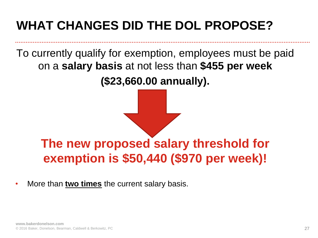# **WHAT CHANGES DID THE DOL PROPOSE?**

To currently qualify for exemption, employees must be paid on a **salary basis** at not less than **\$455 per week (\$23,660.00 annually).**

# **The new proposed salary threshold for exemption is \$50,440 (\$970 per week)!**

More than **two times** the current salary basis.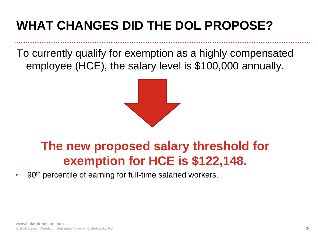# **WHAT CHANGES DID THE DOL PROPOSE?**

To currently qualify for exemption as a highly compensated employee (HCE), the salary level is \$100,000 annually.



# **The new proposed salary threshold for exemption for HCE is \$122,148.**

• 90<sup>th</sup> percentile of earning for full-time salaried workers.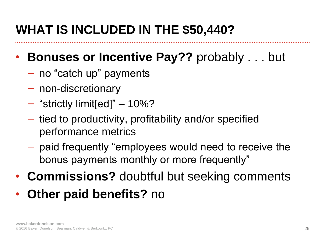# **WHAT IS INCLUDED IN THE \$50,440?**

### • **Bonuses or Incentive Pay??** probably . . . but

- − no "catch up" payments
- − non-discretionary
- − "strictly limit[ed]" 10%?
- − tied to productivity, profitability and/or specified performance metrics
- − paid frequently "employees would need to receive the bonus payments monthly or more frequently"
- **Commissions?** doubtful but seeking comments
- **Other paid benefits?** no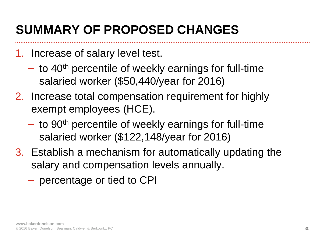# **SUMMARY OF PROPOSED CHANGES**

- 1. Increase of salary level test.
	- − to 40<sup>th</sup> percentile of weekly earnings for full-time salaried worker (\$50,440/year for 2016)
- 2. Increase total compensation requirement for highly exempt employees (HCE).
	- − to 90<sup>th</sup> percentile of weekly earnings for full-time salaried worker (\$122,148/year for 2016)
- 3. Establish a mechanism for automatically updating the salary and compensation levels annually.
	- − percentage or tied to CPI